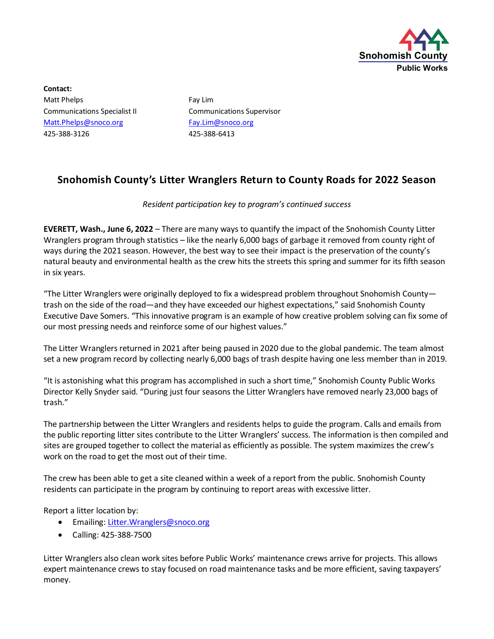

**Contact:** Matt Phelps **Fay Lim** [Matt.Phelps@snoco.org](mailto:Matt.Phelps@snoco.org) [Fay.Lim@snoco.org](mailto:Fay.Lim@snoco.org) 425-388-3126 425-388-6413

Communications Specialist II Communications Supervisor

## **Snohomish County's Litter Wranglers Return to County Roads for 2022 Season**

## *Resident participation key to program's continued success*

**EVERETT, Wash., June 6, 2022** – There are many ways to quantify the impact of the Snohomish County Litter Wranglers program through statistics – like the nearly 6,000 bags of garbage it removed from county right of ways during the 2021 season. However, the best way to see their impact is the preservation of the county's natural beauty and environmental health as the crew hits the streets this spring and summer for its fifth season in six years.

"The Litter Wranglers were originally deployed to fix a widespread problem throughout Snohomish County trash on the side of the road—and they have exceeded our highest expectations," said Snohomish County Executive Dave Somers. "This innovative program is an example of how creative problem solving can fix some of our most pressing needs and reinforce some of our highest values."

The Litter Wranglers returned in 2021 after being paused in 2020 due to the global pandemic. The team almost set a new program record by collecting nearly 6,000 bags of trash despite having one less member than in 2019.

"It is astonishing what this program has accomplished in such a short time," Snohomish County Public Works Director Kelly Snyder said. "During just four seasons the Litter Wranglers have removed nearly 23,000 bags of trash."

The partnership between the Litter Wranglers and residents helps to guide the program. Calls and emails from the public reporting litter sites contribute to the Litter Wranglers' success. The information is then compiled and sites are grouped together to collect the material as efficiently as possible. The system maximizes the crew's work on the road to get the most out of their time.

The crew has been able to get a site cleaned within a week of a report from the public. Snohomish County residents can participate in the program by continuing to report areas with excessive litter.

Report a litter location by:

- Emailing: Litter. Wranglers@snoco.org
- Calling: 425-388-7500

Litter Wranglers also clean work sites before Public Works' maintenance crews arrive for projects. This allows expert maintenance crews to stay focused on road maintenance tasks and be more efficient, saving taxpayers' money.